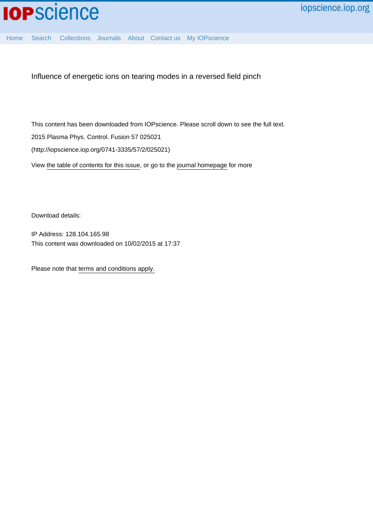

[Home](http://iopscience.iop.org/) [Search](http://iopscience.iop.org/search) [Collections](http://iopscience.iop.org/collections) [Journals](http://iopscience.iop.org/journals) [About](http://iopscience.iop.org/page/aboutioppublishing) [Contact us](http://iopscience.iop.org/contact) [My IOPscience](http://iopscience.iop.org/myiopscience)

Influence of energetic ions on tearing modes in a reversed field pinch

This content has been downloaded from IOPscience. Please scroll down to see the full text. View [the table of contents for this issue](http://iopscience.iop.org/0741-3335/57/2), or go to the [journal homepage](http://iopscience.iop.org/0741-3335) for more 2015 Plasma Phys. Control. Fusion 57 025021 (http://iopscience.iop.org/0741-3335/57/2/025021)

Download details:

IP Address: 128.104.165.98 This content was downloaded on 10/02/2015 at 17:37

Please note that [terms and conditions apply.](iopscience.iop.org/page/terms)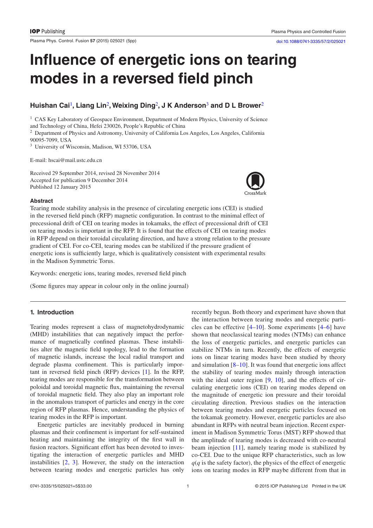Plasma Phys. Control. Fusion **57** (2015) 025021 ([5p](#page-5-9)p) [doi:10.1088/0741-3335/57/2/025021](http://dx.doi.org/10.1088/0741-3335/57/2/025021)

# **Influence of energetic ions on tearing modes in a reversed field pinch**

# **Huishan Cai**[1](#page-1-0)**, Liang Lin**[2](#page-1-1)**, Weixing Ding**[2](#page-1-1)**, J K Anderson**[3](#page-1-2) **and D L Brower**[2](#page-1-1)

<span id="page-1-0"></span><sup>1</sup> CAS Key Laboratory of Geospace Environment, Department of Modern Physics, University of Science and Technology of China, Hefei 230026, People's Republic of China

<span id="page-1-1"></span><sup>2</sup> Department of Physics and Astronomy, University of California Los Angeles, Los Angeles, California 90095-7099, USA

<span id="page-1-2"></span><sup>3</sup> University of Wisconsin, Madison, WI 53706, USA

E-mail: hscai@mail.ustc.edu.cn

Received 29 September 2014, revised 28 November 2014 Accepted for publication 9 December 2014 Published 12 January 2015



#### **Abstract**

Tearing mode stability analysis in the presence of circulating energetic ions (CEI) is studied in the reversed field pinch (RFP) magnetic configuration. In contrast to the minimal effect of precessional drift of CEI on tearing modes in tokamaks, the effect of precessional drift of CEI on tearing modes is important in the RFP. It is found that the effects of CEI on tearing modes in RFP depend on their toroidal circulating direction, and have a strong relation to the pressure gradient of CEI. For co-CEI, tearing modes can be stabilized if the pressure gradient of energetic ions is sufficiently large, which is qualitatively consistent with experimental results in the Madison Symmetric Torus.

Keywords: energetic ions, tearing modes, reversed field pinch

(Some figures may appear in colour only in the online journal)

# **1. Introduction**

Tearing modes represent a class of magnetohydrodynamic (MHD) instabilities that can negatively impact the performance of magnetically confined plasmas. These instabilities alter the magnetic field topology, lead to the formation of magnetic islands, increase the local radial transport and degrade plasma confinement. This is particularly important in reversed field pinch (RFP) devices [[1\]](#page-5-0). In the RFP, tearing modes are responsible for the transformation between poloidal and toroidal magnetic flux, maintaining the reversal of toroidal magnetic field. They also play an important role in the anomalous transport of particles and energy in the core region of RFP plasmas. Hence, understanding the physics of tearing modes in the RFP is important.

Energetic particles are inevitably produced in burning plasmas and their confinement is important for self-sustained heating and maintaining the integrity of the first wall in fusion reactors. Significant effort has been devoted to investigating the interaction of energetic particles and MHD instabilities [\[2](#page-5-1), [3\]](#page-5-2). However, the study on the interaction between tearing modes and energetic particles has only recently begun. Both theory and experiment have shown that the interaction between tearing modes and energetic particles can be effective [[4](#page-5-3)[–10](#page-5-4)]. Some experiments [[4](#page-5-3)[–6](#page-5-5)] have shown that neoclassical tearing modes (NTMs) can enhance the loss of energetic particles, and energetic particles can stabilize NTMs in turn. Recently, the effects of energetic ions on linear tearing modes have been studied by theory and simulation [[8–](#page-5-6)[10](#page-5-4)]. It was found that energetic ions affect the stability of tearing modes mainly through interaction with the ideal outer region [\[9](#page-5-7), [10](#page-5-4)], and the effects of circulating energetic ions (CEI) on tearing modes depend on the magnitude of energetic ion pressure and their toroidal circulating direction. Previous studies on the interaction between tearing modes and energetic particles focused on the tokamak geometry. However, energetic particles are also abundant in RFPs with neutral beam injection. Recent experiment in Madison Symmetric Torus (MST) RFP showed that the amplitude of tearing modes is decreased with co-neutral beam injection [\[11](#page-5-8)], namely tearing mode is stabilized by co-CEI. Due to the unique RFP characteristics, such as low  $q$ ( $q$  is the safety factor), the physics of the effect of energetic ions on tearing modes in RFP maybe different from that in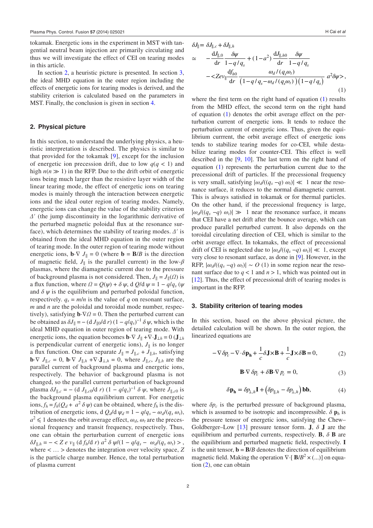tokamak. Energetic ions in the experiment in MST with tangential neutral beam injection are primarily circulating and thus we will investigate the effect of CEI on tearing modes in this article.

In section [2,](#page-2-0) a heuristic picture is presented. In section [3,](#page-2-1) the ideal MHD equation in the outer region including the effects of energetic ions for tearing modes is derived, and the stability criterion is calculated based on the parameters in MST. Finally, the conclusion is given in section [4.](#page-5-10)

# <span id="page-2-0"></span>**2. Physical picture**

In this section, to understand the underlying physics, a heuristic interpretation is described. The physics is similar to that provided for the tokamak [\[9](#page-5-7)], except for the inclusion of energetic ion precession drift, due to low  $q(q < 1)$  and high  $n(n \gg 1)$  in the RFP. Due to the drift orbit of energetic ions being much larger than the resistive layer width of the linear tearing mode, the effect of energetic ions on tearing modes is mainly through the interaction between energetic ions and the ideal outer region of tearing modes. Namely, energetic ions can change the value of the stability criterion *Δ*′ (the jump discontinuity in the logarithmic derivative of the perturbed magnetic poloidal flux at the resonance surface), which determines the stability of tearing modes. *Δ*′ is obtained from the ideal MHD equation in the outer region of tearing mode. In the outer region of tearing mode without energetic ions,  $\mathbf{b} \cdot \nabla J_{\parallel} = 0$  (where  $\mathbf{b} = \mathbf{B}/B$  is the direction of magnetic field, *J*∥ is the parallel current) in the low-*β* plasmas, where the diamagnetic current due to the pressure of background plasma is not considered. Then,  $J_{\parallel} = J_{\parallel}(\Omega)$  is a flux function, where  $\Omega = Q(\psi) + \delta \psi$ , d  $Q/d \psi = 1 - q/q_s$  ( $\psi$ and  $\delta \psi$  is the equilibrium and perturbed poloidal function, respectively.  $q_s = m/n$  is the value of *q* on resonant surface, *m* and *n* are the poloidal and toroidal mode number, respectively), satisfying  $\mathbf{b} \cdot \nabla \Omega = 0$ . Then the perturbed current can be obtained as  $\delta J_{\parallel} = - (d J_{\parallel 0}/d r) (1 - q/q_s)^{-1} \delta \psi$ , which is the ideal MHD equation in outer region of tearing mode. With energetic ions, the equation becomes  $\mathbf{b} \cdot \nabla J_{\parallel} + \nabla \cdot \mathbf{J}_{\perp h} = 0$  ( $\mathbf{J}_{\perp h}$ is perpendicular current of energetic ions),  $J_{\parallel}$  is no longer a flux function. One can separate  $J_{\parallel} = J_{\parallel,c} + J_{\parallel,h}$ , satisfying **b**·∇ *J*<sub>∥,*c*</sub> = 0, **b**·∇ *J*<sub>∥,*h*</sub> +∇·**J**<sub>⊥,*h*</sub> = 0, where *J*<sub>∥,*c*</sub>, *J*<sub>∥,*h*</sub> are the parallel current of background plasma and energetic ions, respectively. The behavior of background plasma is not changed, so the parallel current perturbation of background plasma  $\delta J_{\parallel,c} = -$  (d *J*<sub>||,*c*0</sub>/d *r*)  $(1 - q/q_s)^{-1} \delta \psi$ , where *J*<sub>||,*c*0</sub> is the background plasma equilibrium current. For energetic ions,  $f_h = f_h(Q_d + a^2 \delta \psi)$  can be obtained, where  $f_h$  is the distribution of energetic ions, d  $Q_d/d \psi_d = 1 - q/q_s - \omega_d/(q_s \omega_t)$ ,  $a^2 \leq 1$  denotes the orbit average effect,  $\omega_d$ ,  $\omega_t$  are the precessional frequency and transit frequency, respectively. Thus, one can obtain the perturbation current of energetic ions *δJ*<sub>∥,*h*</sub> = − < *Z e v*<sub>||</sub> (d *f<sub>h</sub>*/d *r*) *a*<sup>2</sup> *δ*  $\psi$ /(1 − *q*/*q<sub>s</sub>* −  $\omega_d$ /(*q<sub>s</sub>*  $\omega_t$ ) >, where < … > denotes the integration over velocity space, *Z* is the particle charge number. Hence, the total perturbation of plasma current

$$
\delta J_{\parallel} = \delta J_{\parallel,c} + \delta J_{\parallel,h} \n\simeq -\frac{\mathrm{d}J_{\parallel,0}}{\mathrm{d}r} \frac{\delta \psi}{1 - q/q_s} + (1 - a^2) \frac{\mathrm{d}J_{\parallel,h0}}{\mathrm{d}r} \frac{\delta \psi}{1 - q/q_s} \n-< Zev_{\parallel} \frac{\mathrm{d}f_{h0}}{\mathrm{d}r} \frac{\omega_d/(q_s \omega_t)}{(1 - q/q_s - \omega_d/(q_s \omega_t)) (1 - q/q_s)} a^2 \delta \psi > \tag{1}
$$

<span id="page-2-2"></span>where the first term on the right hand of equation [\(1](#page-2-2)) results from the MHD effect, the second term on the right hand of equation ([1\)](#page-2-2) denotes the orbit average effect on the perturbation current of energetic ions. It tends to reduce the perturbation current of energetic ions. Thus, given the equilibrium currrent, the orbit average effect of energetic ions tends to stabilize tearing modes for co-CEI, while destabilize tearing modes for counter-CEI. This effect is well described in the [[9,](#page-5-7) [10\]](#page-5-4). The last term on the right hand of equation [\(1](#page-2-2)) represents the perturbation current due to the precessional drift of particles. If the precessional frequency is very small, satisfying ∣*ωd*/((*qs* −*q*) *ωt*)∣ ≪ 1 near the resonance surface, it reduces to the normal diamagnetic current. This is always satisfied in tokamak or for thermal particles. On the other hand, if the precessional frequency is large,  $|ω_d|$ ((*q<sub>s</sub>* −*q*)  $ω_t$ )|  $\gg$  1 near the resonance surface, it means that CEI have a net drift after the bounce average, which can produce parallel perturbed current. It also depends on the toroidal circulating direction of CEI, which is similar to the orbit average effect. In tokamaks, the effect of precessional drift of CEI is neglected due to  $|\omega_d/((q_s - q) \omega_t)| \ll 1$ , except very close to resonant surface, as done in [[9\]](#page-5-7). However, in the RFP,  $|\omega_d/((q_s - q) \omega_t)| \sim O(1)$  in some region near the resonant surface due to  $q < 1$  and  $n > 1$ , which was pointed out in [\[12](#page-5-11)]. Thus, the effect of precessional drift of tearing modes is important in the RFP.

### <span id="page-2-1"></span>**3. Stability criterion of tearing modes**

In this section, based on the above physical picture, the detailed calculation will be shown. In the outer region, the linearized equations are

<span id="page-2-3"></span>
$$
-\nabla \delta p_c - \nabla \cdot \delta \mathbf{p_h} + \frac{1}{c} \delta \mathbf{J} \times \mathbf{B} + \frac{1}{c} \mathbf{J} \times \delta \mathbf{B} = 0, \tag{2}
$$

$$
\mathbf{B} \cdot \nabla \,\delta p_c + \delta \mathbf{B} \cdot \nabla \, p_c = 0,\tag{3}
$$

$$
\delta \mathbf{p_h} = \delta p_{\perp, h} \mathbf{I} + \left( \delta p_{\parallel, h} - \delta p_{\perp, h} \right) \mathbf{b} \mathbf{b},\tag{4}
$$

where  $\delta p_c$  is the perturbed pressure of background plasma, which is assumed to be isotropic and incompressible.  $\delta \mathbf{p}_h$  is the pressure tensor of energetic ions, satisfying the Chew– Goldberger–Low [\[13](#page-5-12)] pressure tensor form. **J**, *δ* **J** are the equilibrium and perturbed currents, respectively. **B**, *δ* **B** are the equilibrium and perturbed magnetic field, respectively. **I** is the unit tensor,  $\mathbf{b} = \mathbf{B}/B$  denotes the direction of equilibrium magnetic field. Making the operation ∇·[ **B**/*B*<sup>2</sup> × (...)] on equation [\(2](#page-2-3)), one can obtain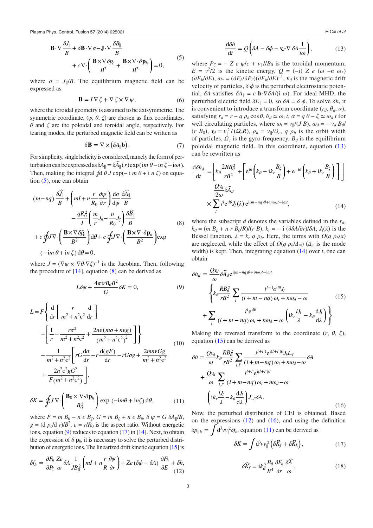$$
\mathbf{B} \cdot \nabla \frac{\delta J_{\parallel}}{B} + \delta \mathbf{B} \cdot \nabla \sigma - \mathbf{J} \cdot \nabla \frac{\delta B_{\parallel}}{B} + c \nabla \cdot \left( \frac{\mathbf{B} \times \nabla \delta p_c}{B^2} + \frac{\mathbf{B} \times \nabla \cdot \delta \mathbf{p}_h}{B^2} \right) = 0,
$$
 (5)

<span id="page-3-0"></span>where  $\sigma = J_{\parallel}/B$ . The equilibrium magnetic field can be expressed as

$$
\mathbf{B} = I \nabla \zeta + \nabla \zeta \times \nabla \psi, \tag{6}
$$

where the toroidal geometry is assumed to be axisymmetric. The symmetric coordinate,  $(\psi, \theta, \zeta)$  are chosen as flux coordinates. *θ* and *ζ* are the poloidal and toroidal angle, respectively. For tearing modes, the perturbed magnetic field can be written as

$$
\delta \mathbf{B} = \nabla \times (\delta A_{\parallel} \mathbf{b}). \tag{7}
$$

For simplicity, single helicity is considered, namely the form of perturbation can be expressed as  $\delta A_{\parallel} = \delta \widehat{A}_{\parallel}(r) \exp(im \theta - in \zeta - i \omega t)$ . Then, making the integral  $\oint d\theta J \exp(-i m \theta + i n \zeta)$  on equation [\(5](#page-3-0)), one can obtain

$$
(m-nq)\frac{\delta\hat{J}_{\parallel}}{B} + \left(mI + n\frac{r}{R_0}\frac{\partial\psi}{\partial r}\right)\frac{d\sigma}{d\psi}\frac{\delta\hat{A}_{\parallel}}{B}
$$

$$
-\frac{qR_0^2}{I}\left(\frac{m}{r}J_\theta - \frac{n}{R_0}J_\zeta\right)\frac{\delta\hat{B}_{\parallel}}{B}
$$

$$
+ c\oint J\nabla \cdot \left(\frac{\mathbf{B} \times \nabla \delta\hat{p}_c}{B^2}\right)d\theta + c\oint J\nabla \cdot \left(\frac{\mathbf{B} \times \nabla \cdot \delta \mathbf{p}_h}{B^2}\right) \exp\left(-im\theta + in\zeta\right)d\theta = 0,
$$

$$
(3)
$$

<span id="page-3-1"></span>where  $J = (\nabla \psi \times \nabla \theta \cdot \nabla \zeta)^{-1}$  is the Jacobian. Then, following the procedure of  $[14]$  $[14]$ , equation  $(8)$  $(8)$  can be derived as

$$
L\delta\psi + \frac{4\pi i r B_{\theta} B^2}{G} \delta K = 0, \qquad (9)
$$

<span id="page-3-2"></span>
$$
L = F \left\{ \frac{d}{dr} \left[ \frac{r}{m^2 + n^2 \epsilon^2} \frac{d}{dr} \right] - \left[ \frac{1}{r} - \frac{r\sigma^2}{m^2 + n^2 \epsilon^2} + \frac{2n\epsilon(m\sigma + n\epsilon g)}{(m^2 + n^2 \epsilon^2)^2} \right] \right\}
$$
  

$$
- \frac{1}{m^2 + n^2 \epsilon^2} \left[ rG \frac{d\sigma}{dr} - r \frac{d(gF)}{dr} - rG\sigma g + \frac{2mn\epsilon Gg}{m^2 + n^2 \epsilon^2} + \frac{2n^2\epsilon^2 gG^2}{F(m^2 + n^2 \epsilon^2)} \right],
$$
 (10)

$$
\delta K = \oint J \nabla \cdot \left( \frac{\mathbf{B}_0 \times \nabla \cdot \delta \mathbf{p}_h}{B_0^2} \right) \exp \left( -\mathrm{i} m\theta + \mathrm{i} n\zeta \right) \mathrm{d}\theta,\tag{11}
$$

<span id="page-3-9"></span>where  $F = m B_\theta - n \epsilon B_\zeta$ ,  $G = m B_\zeta + n \epsilon B_\theta$ ,  $\delta \psi = G \delta A_\parallel / B$ ,  $g = (d \, p_c/d \, r)/B^2$ ,  $\epsilon = r/R_0$  is the aspect ratio. Without energetic ions, equation [\(9\)](#page-3-2) reduces to equation [\(17\)](#page-3-3) in [\[14\]](#page-5-13). Next, to obtain the expression of  $\delta \mathbf{p}_h$ , it is necessary to solve the perturbed distribution of energetic ions. The linearized drift kinetic equation [\[15\]](#page-5-14) is

<span id="page-3-7"></span>
$$
\delta f_h = \frac{\partial F_h}{\partial P_\zeta} \frac{Ze}{\omega} \delta A \frac{1}{JB_0^2} \left( mI + n\frac{r}{R} \frac{\partial \psi}{\partial r} \right) + Ze \left( \delta \phi - \delta A \right) \frac{\partial F_h}{\partial E} + \delta h, \tag{12}
$$

$$
\frac{\mathrm{d}\delta h}{\mathrm{d}t} = Q\bigg(\delta A - \delta \phi - \mathbf{v}_d \cdot \nabla \delta A \frac{1}{i\omega}\bigg),\tag{13}
$$

<span id="page-3-4"></span>where  $P_\zeta = -Z e \psi/c + v_{\parallel} I/B_0$  is the toroidal momentum,  $E = v^2/2$  is the kinetic energy,  $Q = (-i) Z e (\omega - n \omega^*)$  $(\partial F_h/\partial E)$ ,  $\omega^* = (\partial F_h/\partial P_\zeta)(\partial F_h/\partial E)^{-1}$ , **v**<sub>*d*</sub> is the magnetic drift velocity of particles,  $\delta \phi$  is the perturbed electrostatic potential, *δA* satisfies *δA*∥ = *c* **b**·∇*δA*/(i *ω*). For ideal MHD, the perturbed electric field *δE*∥ = 0, so *δA* = *δ ϕ*. To solve *δh*, it is convenient to introduce a transform coordinate  $(r_d, \theta_d, \alpha)$ , satisfying  $r_d = r - q \rho_h \cos \theta$ ,  $\theta_d \simeq \omega_t t$ ,  $\alpha = q \theta - \zeta \simeq \omega_d t$  for well circulating particles, where  $\omega_t = v_{\parallel}/(J B)$ ,  $\omega_d = -v_d B_{\theta}/J$  $(r B_0)$ ,  $v_d = v_\parallel^2 / (Q_c R)$ ,  $\rho_h = v_\parallel / Q_c$ , q  $\rho_h$  is the orbit width of particles,  $Q_c$  is the gyro-frequency,  $B_\theta$  is the equilibrium poloidal magnetic field. In this coordinate, equation [\(13\)](#page-3-4) can be rewritten as

$$
\frac{d\delta h_d}{dt} = \left[ k_\theta \frac{2RB_\theta^2}{rB^2} + \left[ e^{i\theta} \left( k_\theta - ik_r \frac{B_\zeta}{B} \right) + e^{-i\theta} \left( k_\theta + ik_r \frac{B_\zeta}{B} \right) \right] \right]
$$
  

$$
\frac{Qv_d}{2\omega} \delta \widehat{A}_d
$$
  

$$
\times \sum_l i^l e^{il\theta} J_l(\lambda) e^{i(m-nq)\theta + in\omega_d t - i\omega t},
$$
 (14)

<span id="page-3-5"></span>where the subscript  $d$  denotes the variables defined in the  $r_d$ ,  $k_{\theta} = (m B_{\zeta} + n r B_{\theta}/R)/(r B), k_r = -i (\partial \delta A/\partial r)/\delta A, J_l(\lambda)$  is the Bessel function,  $\lambda = k_r q \rho_h$ . Here, the terms with  $O(q \rho_h/a)$ are neglected, while the effect of  $O(q \rho_h/\Delta_m)$  ( $\Delta_m$  is the mode width) is kept. Then, integrating equation [\(14](#page-3-5)) over *t*, one can obtain

$$
\delta h_d = \frac{Qv_d}{\omega} \delta \widehat{A}_d e^{i(m-nq)\theta + in\omega_d t - i\omega t}
$$
\n
$$
\left\{ k_\theta \frac{RB_\theta^2}{rB^2} \sum_l \frac{i^{l-1} e^{il\theta} J_l}{(l+m-nq)\omega_l + n\omega_d - \omega} + \sum_l \frac{i^l e^{il\theta}}{(l+m-nq)\omega_l + n\omega_d - \omega} \left( ik_r \frac{IJ_l}{\lambda} - k_\theta \frac{dJ_l}{d\lambda} \right) \right\}.
$$
\n(15)

<span id="page-3-6"></span>Making the reversed transform to the coordinate  $(r, \theta, \zeta)$ , equation [\(15](#page-3-6)) can be derived as

$$
\delta h = \frac{Qv_d}{\omega} k_{\theta} \frac{RB_{\theta}^2}{rB^2} \sum_{l,l'} \frac{i^{l+l'} \text{le}^{i(l+l')\theta} J_l J_{-l'}}{(l+m-nq) \omega_l + n\omega_d - \omega} \delta A
$$

$$
+ \frac{Qv_d}{\omega} \sum_{l,l'} \frac{i^{l+l'} \text{e}^{i(l+l')\theta}}{(l+m-nq) \omega_l + n\omega_d - \omega}
$$

$$
\left( \text{i}k_r \frac{IJ_l}{\lambda} - k_{\theta} \frac{\text{d}J_l}{\text{d}\lambda} \right) J_{-l'} \delta A. \tag{16}
$$

<span id="page-3-8"></span><span id="page-3-3"></span>Now, the perturbed distribution of CEI is obtained. Based on the expressions  $(12)$  $(12)$  and  $(16)$  $(16)$ , and using the definition  $\delta p_{\parallel h} = \int d^3v v_{\parallel}^2 \delta f_h$ , equation [\(11](#page-3-9)) can be derived as

$$
\delta K = \int d^3 v v_{\parallel}^2 \left( \delta \widehat{K}_f + \delta \widehat{K}_k \right), \tag{17}
$$

$$
\delta \widehat{K}_f = i k_\theta^2 \frac{B_\theta}{B^4} \frac{\partial F_h}{\partial r} \frac{\delta \widehat{A}}{\omega},\tag{18}
$$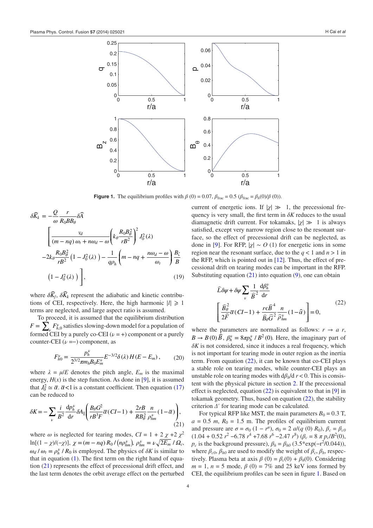

**Figure 1.** The equilibrium profiles with  $\beta$  (0) = 0.07,  $\beta_{\text{frac}} = 0.5$  ( $\beta_{\text{frac}} = \beta_h(0)/\beta$  (0)).

$$
\delta \widehat{K}_k = -\frac{Q}{\omega} \frac{r}{R_0 B B_\theta} \delta \widehat{A}
$$
  

$$
\left[ \frac{v_d}{(m - nq) \omega_t + n\omega_d - \omega} \left( k_\theta \frac{R_0 B_\theta^2}{r B^2} \right)^2 J_0^2(\lambda) -2k_\theta \frac{R_0 B_\theta^2}{r B^2} \left( 1 - J_0^2(\lambda) \right) - \frac{1}{q \rho_h} \left( m - nq + \frac{n\omega_d - \omega}{\omega_t} \right) \frac{B_\zeta}{B}
$$
  

$$
\left( 1 - J_0^2(\lambda) \right) \right],
$$
 (19)

where  $\delta \widehat{K}_f$ ,  $\delta \widehat{K}_k$  represent the adiabatic and kinetic contributions of CEI, respectively. Here, the high harmonic  $|l| \geq 1$ terms are neglected, and large aspect ratio is assumed.

To proceed, it is assumed that the equilibrium distribution  $F = \sum_{\nu} F_{h,0}^{\nu}$  satisfies slowing-down model for a population of formed CEI by a purely co-CEI  $(\nu = +)$  component or a purely counter-CEI (*ν* =−) component, as

$$
F_{h0}^{\nu} = \frac{p_h^{\nu}}{2^{3/2} \pi m_h B_0 E_m^{\nu}} E^{-3/2} \delta(\lambda) H(E - E_m), \qquad (20)
$$

where  $\lambda = \mu/E$  denotes the pitch angle,  $E_m$  is the maximal energy,  $H(x)$  is the step function. As done in [\[9](#page-5-7)], it is assumed that  $J_0^2 \simeq \overline{\alpha}$ .  $\overline{\alpha}$  < 1 is a constant coefficient. Then equation ([17\)](#page-3-3) can be reduced to

<span id="page-4-0"></span>
$$
\delta K = -\sum_{\nu} \frac{i}{B^2} \frac{\mathrm{d}p_h^{\nu}}{\mathrm{d}r} \delta A_{\parallel} \left( \frac{B_{\theta}G^2}{rB^3 F} \overline{\alpha} (CI - 1) + \frac{2rB}{RB_{\theta}^2} \frac{n}{\rho_{hm}^{\nu}} (1 - \overline{\alpha}) \right), \tag{21}
$$

where  $\omega$  is neglected for tearing modes,  $CI = 1 + 2 \chi +2 \chi^2$  $\ln[(1 - \chi)/(-\chi)], \ \chi = (m - nq) R_0 / (n\rho_{hm}^{\nu}), \ \rho_{hm}^{\nu} = \nu \sqrt{2E_m} / \Omega_c,$  $ω_d / ω_t = ρ_h^{\nu} / R_0$  is employed. The physics of *δK* is similar to that in equation  $(1)$  $(1)$ . The first term on the right hand of equation ([21\)](#page-4-0) represents the effect of precessional drift effect, and the last term denotes the orbit average effect on the perturbed

current of energetic ions. If ∣*χ*∣ ≫ 1, the precessional frequency is very small, the first term in  $\delta K$  reduces to the usual diamagnetic drift current. For tokamaks, ∣*χ*∣ ≫ 1 is always satisfied, except very narrow region close to the resonant surface, so the effect of precessional drift can be neglected, as done in [\[9](#page-5-7)]. For RFP,  $|\chi| \sim O(1)$  for energetic ions in some region near the resonant surface, due to the  $q < 1$  and  $n > 1$  in the RFP, which is pointed out in  $[12]$  $[12]$ . Thus, the effect of precessional drift on tearing modes can be important in the RFP. Substituting equation  $(21)$  $(21)$  into equation  $(9)$  $(9)$ , one can obtain

$$
\hat{L}\delta\psi + \delta\psi \sum_{\nu} \frac{1}{\hat{B}^2} \frac{d\beta_h^{\nu}}{dr} \n\frac{\hat{B}_{\theta}^2}{2\hat{F}} \overline{\alpha}(CI-1) + \frac{r\epsilon \hat{B}^4}{\hat{B}_{\theta}\hat{G}^2} \frac{n}{\hat{\rho}_{hm}^{\nu}} (1-\hat{\alpha})\n\Bigg] = 0,
$$
\n(22)

<span id="page-4-1"></span>where the parameters are normalized as follows:  $r \rightarrow a$  *r*,  $B \to B(0)$   $\widehat{B}$ ,  $\beta_h^{\nu} = 8\pi p_h^{\nu} / B^2(0)$ . Here, the imaginary part of ̂ *δK* is not considered, since it induces a real frequency, which is not important for tearing mode in outer region as the inertia term. From equation  $(22)$  $(22)$ , it can be known that co-CEI plays a stable role on tearing modes, while counter-CEI plays an unstable role on tearing modes with  $d\beta_h/d r < 0$ . This is consistent with the physical picture in section [2.](#page-2-0) If the precessional effect is neglected, equation ([22\)](#page-4-1) is equivalent to that in [\[9](#page-5-7)] in tokamak geometry. Thus, based on equation [\(22](#page-4-1)), the stability criterion *Δ*′ for tearing mode can be calculated.

For typical RFP like MST, the main parameters  $B_0 = 0.3$  T,  $a = 0.5$  *m*,  $R_0 = 1.5$  m. The profiles of equilibrium current and pressure are  $\sigma = \sigma_0 (1 - r^{\mu})$ ,  $\sigma_0 = 2 \frac{a}{q(0)} R_0$ ,  $\beta_c = \beta_{c0}$  $(1.04 + 0.52 r^2 - 6.78 r^4 + 7.68 r^6 - 2.47 r^8) (\beta_c = 8 \pi p_c / B^2(0),$ *p<sub>c</sub>* is the background pressure),  $\beta_h = \beta_{h0} (3.5 \text{**} exp(-r^2/0.044))$ , where  $\beta_{c0}$ ,  $\beta_{h0}$  are used to modify the weight of  $\beta_c$ ,  $\beta_h$ , respectively. Plasma beta at axis  $\beta$  (0) =  $\beta_c$ (0) +  $\beta_h$ (0). Considering  $m = 1$ ,  $n = 5$  mode,  $\beta$  (0) = 7% and 25 keV ions formed by CEI, the equilibrium profiles can be seen in figure [1.](#page-2-2) Based on